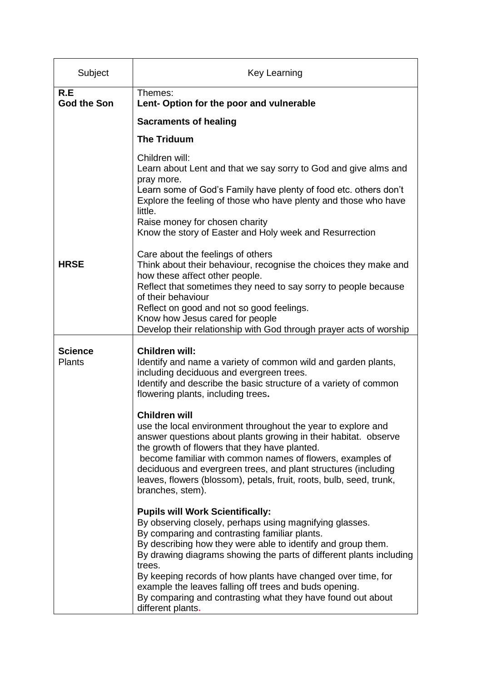| Subject                   | <b>Key Learning</b>                                                                                                                                                                                                                                                                                                                                                                                                                                                                                                                                                                                                                                                                                                                                                                                                                       |
|---------------------------|-------------------------------------------------------------------------------------------------------------------------------------------------------------------------------------------------------------------------------------------------------------------------------------------------------------------------------------------------------------------------------------------------------------------------------------------------------------------------------------------------------------------------------------------------------------------------------------------------------------------------------------------------------------------------------------------------------------------------------------------------------------------------------------------------------------------------------------------|
| R.E<br><b>God the Son</b> | Themes:<br>Lent- Option for the poor and vulnerable                                                                                                                                                                                                                                                                                                                                                                                                                                                                                                                                                                                                                                                                                                                                                                                       |
|                           | <b>Sacraments of healing</b>                                                                                                                                                                                                                                                                                                                                                                                                                                                                                                                                                                                                                                                                                                                                                                                                              |
|                           | <b>The Triduum</b>                                                                                                                                                                                                                                                                                                                                                                                                                                                                                                                                                                                                                                                                                                                                                                                                                        |
|                           | Children will:<br>Learn about Lent and that we say sorry to God and give alms and<br>pray more.<br>Learn some of God's Family have plenty of food etc. others don't<br>Explore the feeling of those who have plenty and those who have<br>little.<br>Raise money for chosen charity<br>Know the story of Easter and Holy week and Resurrection                                                                                                                                                                                                                                                                                                                                                                                                                                                                                            |
| <b>HRSE</b>               | Care about the feelings of others<br>Think about their behaviour, recognise the choices they make and<br>how these affect other people.<br>Reflect that sometimes they need to say sorry to people because<br>of their behaviour<br>Reflect on good and not so good feelings.<br>Know how Jesus cared for people<br>Develop their relationship with God through prayer acts of worship                                                                                                                                                                                                                                                                                                                                                                                                                                                    |
| <b>Science</b><br>Plants  | <b>Children will:</b><br>Identify and name a variety of common wild and garden plants,<br>including deciduous and evergreen trees.<br>Identify and describe the basic structure of a variety of common<br>flowering plants, including trees.<br><b>Children will</b><br>use the local environment throughout the year to explore and<br>answer questions about plants growing in their habitat. observe<br>the growth of flowers that they have planted.<br>become familiar with common names of flowers, examples of<br>deciduous and evergreen trees, and plant structures (including<br>leaves, flowers (blossom), petals, fruit, roots, bulb, seed, trunk,<br>branches, stem).<br><b>Pupils will Work Scientifically:</b><br>By observing closely, perhaps using magnifying glasses.<br>By comparing and contrasting familiar plants. |
|                           | By describing how they were able to identify and group them.<br>By drawing diagrams showing the parts of different plants including<br>trees.<br>By keeping records of how plants have changed over time, for<br>example the leaves falling off trees and buds opening.<br>By comparing and contrasting what they have found out about<br>different plants.                                                                                                                                                                                                                                                                                                                                                                                                                                                                               |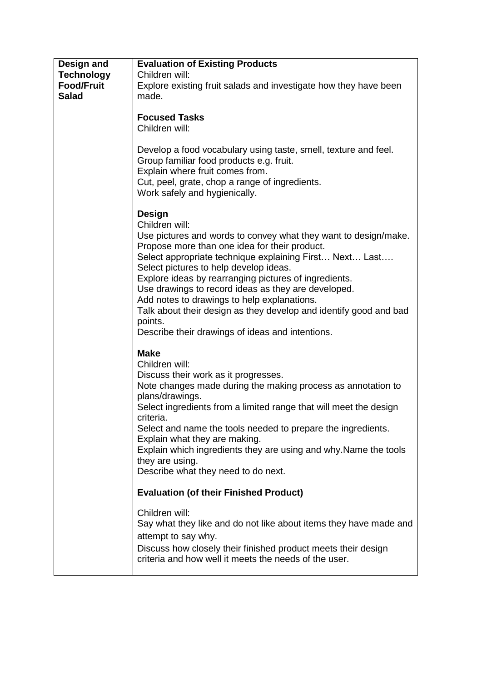| Design and<br><b>Technology</b>   | <b>Evaluation of Existing Products</b><br>Children will:                                                                                                                                                                                                                                                                                                                                                                                                                                                                                             |
|-----------------------------------|------------------------------------------------------------------------------------------------------------------------------------------------------------------------------------------------------------------------------------------------------------------------------------------------------------------------------------------------------------------------------------------------------------------------------------------------------------------------------------------------------------------------------------------------------|
| <b>Food/Fruit</b><br><b>Salad</b> | Explore existing fruit salads and investigate how they have been<br>made.                                                                                                                                                                                                                                                                                                                                                                                                                                                                            |
|                                   | <b>Focused Tasks</b><br>Children will:                                                                                                                                                                                                                                                                                                                                                                                                                                                                                                               |
|                                   | Develop a food vocabulary using taste, smell, texture and feel.<br>Group familiar food products e.g. fruit.<br>Explain where fruit comes from.<br>Cut, peel, grate, chop a range of ingredients.<br>Work safely and hygienically.                                                                                                                                                                                                                                                                                                                    |
|                                   | Design<br>Children will:<br>Use pictures and words to convey what they want to design/make.<br>Propose more than one idea for their product.<br>Select appropriate technique explaining First Next Last<br>Select pictures to help develop ideas.<br>Explore ideas by rearranging pictures of ingredients.<br>Use drawings to record ideas as they are developed.<br>Add notes to drawings to help explanations.<br>Talk about their design as they develop and identify good and bad<br>points.<br>Describe their drawings of ideas and intentions. |
|                                   | <b>Make</b><br>Children will:<br>Discuss their work as it progresses.<br>Note changes made during the making process as annotation to<br>plans/drawings.<br>Select ingredients from a limited range that will meet the design<br>criteria.<br>Select and name the tools needed to prepare the ingredients.<br>Explain what they are making.<br>Explain which ingredients they are using and why. Name the tools<br>they are using.<br>Describe what they need to do next.                                                                            |
|                                   | <b>Evaluation (of their Finished Product)</b>                                                                                                                                                                                                                                                                                                                                                                                                                                                                                                        |
|                                   | Children will:<br>Say what they like and do not like about items they have made and<br>attempt to say why.<br>Discuss how closely their finished product meets their design<br>criteria and how well it meets the needs of the user.                                                                                                                                                                                                                                                                                                                 |